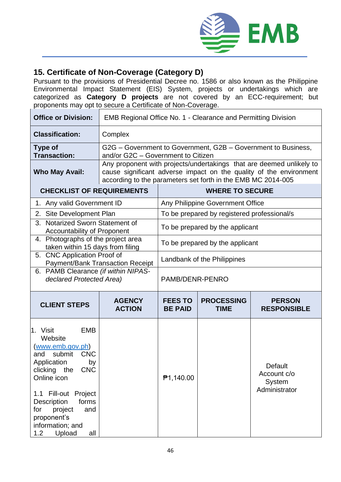

## **15. Certificate of Non-Coverage (Category D)**

Pursuant to the provisions of Presidential Decree no. 1586 or also known as the Philippine Environmental Impact Statement (EIS) System, projects or undertakings which are categorized as **Category D projects** are not covered by an ECC-requirement; but proponents may opt to secure a Certificate of Non-Coverage.

| <b>Office or Division:</b>                                                                                                                                                                                                                                                                 | <b>EMB Regional Office No. 1 - Clearance and Permitting Division</b>                                                                                                                                       |                                             |                                  |                                                          |  |  |
|--------------------------------------------------------------------------------------------------------------------------------------------------------------------------------------------------------------------------------------------------------------------------------------------|------------------------------------------------------------------------------------------------------------------------------------------------------------------------------------------------------------|---------------------------------------------|----------------------------------|----------------------------------------------------------|--|--|
| <b>Classification:</b>                                                                                                                                                                                                                                                                     | Complex                                                                                                                                                                                                    |                                             |                                  |                                                          |  |  |
| <b>Type of</b><br><b>Transaction:</b>                                                                                                                                                                                                                                                      | G2G – Government to Government, G2B – Government to Business,<br>and/or G2C - Government to Citizen                                                                                                        |                                             |                                  |                                                          |  |  |
| <b>Who May Avail:</b>                                                                                                                                                                                                                                                                      | Any proponent with projects/undertakings that are deemed unlikely to<br>cause significant adverse impact on the quality of the environment<br>according to the parameters set forth in the EMB MC 2014-005 |                                             |                                  |                                                          |  |  |
| <b>CHECKLIST OF REQUIREMENTS</b>                                                                                                                                                                                                                                                           |                                                                                                                                                                                                            | <b>WHERE TO SECURE</b>                      |                                  |                                                          |  |  |
| 1. Any valid Government ID                                                                                                                                                                                                                                                                 |                                                                                                                                                                                                            | Any Philippine Government Office            |                                  |                                                          |  |  |
| Site Development Plan<br>2.                                                                                                                                                                                                                                                                |                                                                                                                                                                                                            | To be prepared by registered professional/s |                                  |                                                          |  |  |
| <b>Notarized Sworn Statement of</b><br>3.<br><b>Accountability of Proponent</b>                                                                                                                                                                                                            |                                                                                                                                                                                                            | To be prepared by the applicant             |                                  |                                                          |  |  |
| 4. Photographs of the project area<br>taken within 15 days from filing                                                                                                                                                                                                                     |                                                                                                                                                                                                            | To be prepared by the applicant             |                                  |                                                          |  |  |
| 5. CNC Application Proof of<br><b>Payment/Bank Transaction Receipt</b>                                                                                                                                                                                                                     |                                                                                                                                                                                                            | Landbank of the Philippines                 |                                  |                                                          |  |  |
| 6. PAMB Clearance (if within NIPAS-<br>declared Protected Area)                                                                                                                                                                                                                            |                                                                                                                                                                                                            | PAMB/DENR-PENRO                             |                                  |                                                          |  |  |
| <b>CLIENT STEPS</b>                                                                                                                                                                                                                                                                        | <b>AGENCY</b><br><b>ACTION</b>                                                                                                                                                                             | <b>FEES TO</b><br><b>BE PAID</b>            | <b>PROCESSING</b><br><b>TIME</b> | <b>PERSON</b><br><b>RESPONSIBLE</b>                      |  |  |
| <b>EMB</b><br>1. Visit<br>Website<br>(www.emb.gov.ph)<br>submit<br><b>CNC</b><br>and<br>Application<br>by<br>clicking the<br><b>CNC</b><br>Online icon<br>1.1 Fill-out Project<br>Description<br>forms<br>project<br>and<br>for<br>proponent's<br>information; and<br>Upload<br>1.2<br>all |                                                                                                                                                                                                            | <b>71,140.00</b>                            |                                  | Default<br>Account c/o<br><b>System</b><br>Administrator |  |  |